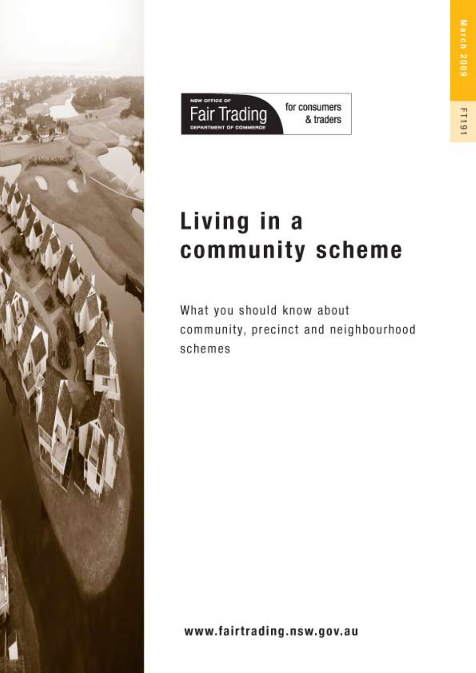



# Living in a community scheme

What you should know about community, precinct and neighbourhood schemes

www.fairtrading.nsw.gov.au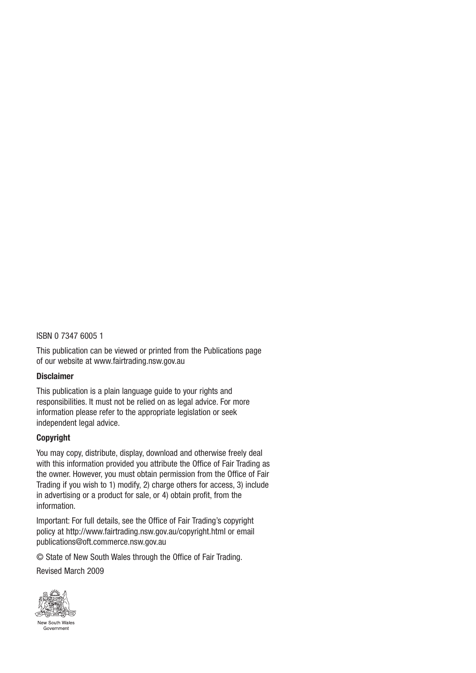#### ISBN 0 7347 6005 1

This publication can be viewed or printed from the Publications page of our website at www.fairtrading.nsw.gov.au

#### **Disclaimer**

This publication is a plain language guide to your rights and responsibilities. It must not be relied on as legal advice. For more information please refer to the appropriate legislation or seek independent legal advice.

#### **Copyright**

You may copy, distribute, display, download and otherwise freely deal with this information provided you attribute the Office of Fair Trading as the owner. However, you must obtain permission from the Office of Fair Trading if you wish to 1) modify, 2) charge others for access, 3) include in advertising or a product for sale, or 4) obtain profit, from the information.

Important: For full details, see the Office of Fair Trading's copyright policy at http://www.fairtrading.nsw.gov.au/copyright.html or email publications@oft.commerce.nsw.gov.au

© State of New South Wales through the Office of Fair Trading.

Revised March 2009

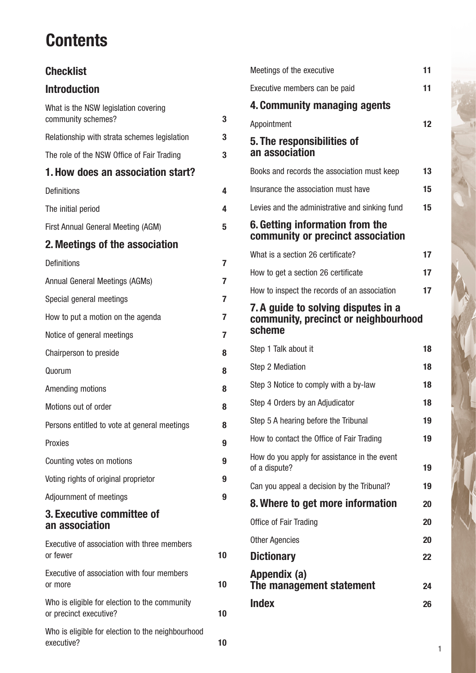## **Contents**

## **Checklist**

## **Introduction**

| What is the NSW legislation covering                                    |    |
|-------------------------------------------------------------------------|----|
| community schemes?                                                      | 3  |
| Relationship with strata schemes legislation                            | 3  |
| The role of the NSW Office of Fair Trading                              | 3  |
| 1. How does an association start?                                       |    |
| <b>Definitions</b>                                                      | 4  |
| The initial period                                                      | 4  |
| First Annual General Meeting (AGM)                                      | 5  |
| 2. Meetings of the association                                          |    |
| <b>Definitions</b>                                                      | 7  |
| Annual General Meetings (AGMs)                                          | 7  |
| Special general meetings                                                | 7  |
| How to put a motion on the agenda                                       | 7  |
| Notice of general meetings                                              | 7  |
| Chairperson to preside                                                  | 8  |
| Quorum                                                                  | 8  |
| Amending motions                                                        | 8  |
| Motions out of order                                                    | 8  |
| Persons entitled to vote at general meetings                            | 8  |
| Proxies                                                                 | 9  |
| Counting votes on motions                                               | 9  |
| Voting rights of original proprietor                                    | 9  |
| Adjournment of meetings                                                 | 9  |
| 3. Executive committee of<br>an association                             |    |
| Executive of association with three members<br>or fewer                 | 10 |
| Executive of association with four members<br>or more                   | 10 |
| Who is eligible for election to the community<br>or precinct executive? | 10 |
| Who is eligible for election to the neighbourhood<br>executive?         | 10 |

|                                                                                       | Meetings of the executive                                            | 11 |
|---------------------------------------------------------------------------------------|----------------------------------------------------------------------|----|
|                                                                                       | Executive members can be paid                                        | 11 |
|                                                                                       | 4. Community managing agents                                         |    |
|                                                                                       | Appointment                                                          | 12 |
|                                                                                       | 5. The responsibilities of<br>an association                         |    |
|                                                                                       | Books and records the association must keep                          | 13 |
|                                                                                       | Insurance the association must have                                  | 15 |
|                                                                                       | Levies and the administrative and sinking fund                       | 15 |
|                                                                                       | 6. Getting information from the<br>community or precinct association |    |
|                                                                                       | What is a section 26 certificate?                                    | 17 |
|                                                                                       | How to get a section 26 certificate                                  | 17 |
|                                                                                       | How to inspect the records of an association                         | 17 |
| 7. A guide to solving disputes in a<br>community, precinct or neighbourhood<br>scheme |                                                                      |    |
|                                                                                       |                                                                      |    |
|                                                                                       | Step 1 Talk about it                                                 | 18 |
|                                                                                       | Step 2 Mediation                                                     | 18 |
|                                                                                       | Step 3 Notice to comply with a by-law                                | 18 |
|                                                                                       | Step 4 Orders by an Adjudicator                                      | 18 |
|                                                                                       | Step 5 A hearing before the Tribunal                                 | 19 |
|                                                                                       | How to contact the Office of Fair Trading                            | 19 |
|                                                                                       | How do you apply for assistance in the event<br>of a dispute?        | 19 |
|                                                                                       | Can you appeal a decision by the Tribunal?                           | 19 |
|                                                                                       | 8. Where to get more information                                     | 20 |
|                                                                                       | Office of Fair Trading                                               | 20 |
|                                                                                       | <b>Other Agencies</b>                                                | 20 |
|                                                                                       | <b>Dictionary</b>                                                    | 22 |
|                                                                                       | Appendix (a)<br>The management statement                             | 24 |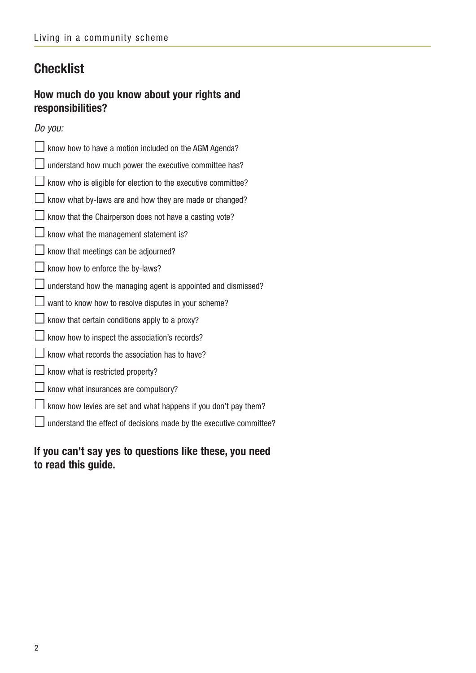## **Checklist**

### **How much do you know about your rights and responsibilities?**

Do you:

| know how to have a motion included on the AGM Agenda?               |
|---------------------------------------------------------------------|
| I understand how much power the executive committee has?            |
| know who is eligible for election to the executive committee?       |
| know what by-laws are and how they are made or changed?             |
| $\perp$ know that the Chairperson does not have a casting vote?     |
| $\perp$ know what the management statement is?                      |
| know that meetings can be adjourned?                                |
| know how to enforce the by-laws?                                    |
| J understand how the managing agent is appointed and dismissed?     |
| $\Box$ want to know how to resolve disputes in your scheme?         |
| $\perp$ know that certain conditions apply to a proxy?              |
| know how to inspect the association's records?                      |
| know what records the association has to have?                      |
| I know what is restricted property?                                 |
| know what insurances are compulsory?                                |
| I know how levies are set and what happens if you don't pay them?   |
| understand the effect of decisions made by the executive committee? |
|                                                                     |

**If you can't say yes to questions like these, you need to read this guide.**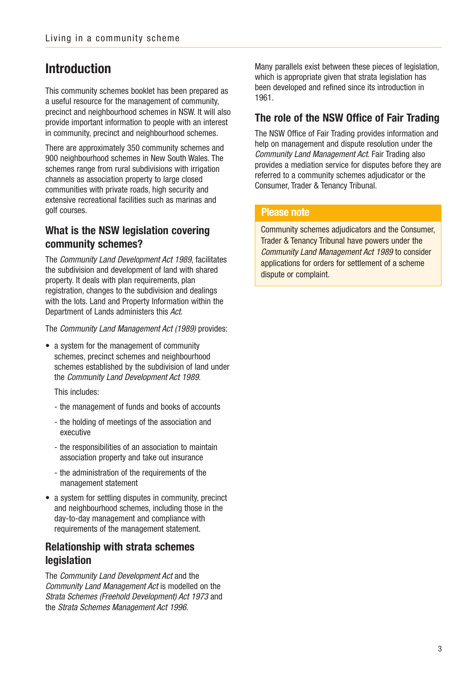## **Introduction**

This community schemes booklet has been prepared as a useful resource for the management of community, precinct and neighbourhood schemes in NSW. It will also provide important information to people with an interest in community, precinct and neighbourhood schemes.

There are approximately 350 community schemes and 900 neighbourhood schemes in New South Wales. The schemes range from rural subdivisions with irrigation channels as association property to large closed communities with private roads, high security and extensive recreational facilities such as marinas and golf courses.

### **What is the NSW legislation covering community schemes?**

The Community Land Development Act 1989, facilitates the subdivision and development of land with shared property. It deals with plan requirements, plan registration, changes to the subdivision and dealings with the lots. Land and Property Information within the Department of Lands administers this Act.

The Community Land Management Act (1989) provides:

• a system for the management of community schemes, precinct schemes and neighbourhood schemes established by the subdivision of land under the Community Land Development Act 1989.

This includes:

- the management of funds and books of accounts
- the holding of meetings of the association and executive
- the responsibilities of an association to maintain association property and take out insurance
- the administration of the requirements of the management statement
- a system for settling disputes in community, precinct and neighbourhood schemes, including those in the day-to-day management and compliance with requirements of the management statement.

### **Relationship with strata schemes legislation**

The Community Land Development Act and the Community Land Management Act is modelled on the Strata Schemes (Freehold Development) Act 1973 and the Strata Schemes Management Act 1996.

Many parallels exist between these pieces of legislation, which is appropriate given that strata legislation has been developed and refined since its introduction in 1961.

### **The role of the NSW Office of Fair Trading**

The NSW Office of Fair Trading provides information and help on management and dispute resolution under the Community Land Management Act. Fair Trading also provides a mediation service for disputes before they are referred to a community schemes adjudicator or the Consumer, Trader & Tenancy Tribunal.

#### **Please note**

Community schemes adjudicators and the Consumer, Trader & Tenancy Tribunal have powers under the Community Land Management Act 1989 to consider applications for orders for settlement of a scheme dispute or complaint.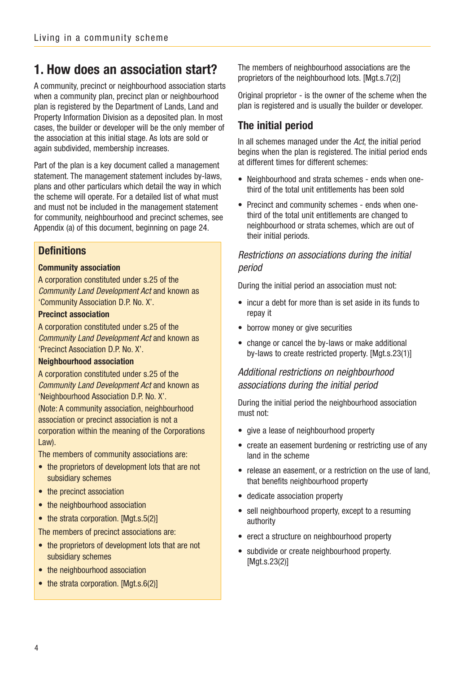## **1. How does an association start?**

A community, precinct or neighbourhood association starts when a community plan, precinct plan or neighbourhood plan is registered by the Department of Lands, Land and Property Information Division as a deposited plan. In most cases, the builder or developer will be the only member of the association at this initial stage. As lots are sold or again subdivided, membership increases.

Part of the plan is a key document called a management statement. The management statement includes by-laws, plans and other particulars which detail the way in which the scheme will operate. For a detailed list of what must and must not be included in the management statement for community, neighbourhood and precinct schemes, see Appendix (a) of this document, beginning on page 24.

### **Definitions**

#### **Community association**

A corporation constituted under s.25 of the Community Land Development Act and known as 'Community Association D.P. No. X'.

#### **Precinct association**

A corporation constituted under s.25 of the Community Land Development Act and known as 'Precinct Association D.P. No. X'.

#### **Neighbourhood association**

A corporation constituted under s.25 of the Community Land Development Act and known as 'Neighbourhood Association D.P. No. X'.

(Note: A community association, neighbourhood association or precinct association is not a corporation within the meaning of the Corporations Law).

The members of community associations are:

- the proprietors of development lots that are not subsidiary schemes
- the precinct association
- the neighbourhood association
- the strata corporation. [Mgt.s.5(2)]

The members of precinct associations are:

- the proprietors of development lots that are not subsidiary schemes
- the neighbourhood association
- the strata corporation. [Mgt.s.6(2)]

The members of neighbourhood associations are the proprietors of the neighbourhood lots. [Mgt.s.7(2)]

Original proprietor - is the owner of the scheme when the plan is registered and is usually the builder or developer.

### **The initial period**

In all schemes managed under the Act, the initial period begins when the plan is registered. The initial period ends at different times for different schemes:

- Neighbourhood and strata schemes ends when onethird of the total unit entitlements has been sold
- Precinct and community schemes ends when onethird of the total unit entitlements are changed to neighbourhood or strata schemes, which are out of their initial periods.

### Restrictions on associations during the initial period

During the initial period an association must not:

- incur a debt for more than is set aside in its funds to repay it
- borrow money or give securities
- change or cancel the by-laws or make additional by-laws to create restricted property. [Mgt.s.23(1)]

### Additional restrictions on neighbourhood associations during the initial period

During the initial period the neighbourhood association must not:

- give a lease of neighbourhood property
- create an easement burdening or restricting use of any land in the scheme
- release an easement, or a restriction on the use of land, that benefits neighbourhood property
- dedicate association property
- sell neighbourhood property, except to a resuming authority
- erect a structure on neighbourhood property
- subdivide or create neighbourhood property. [Mgt.s.23(2)]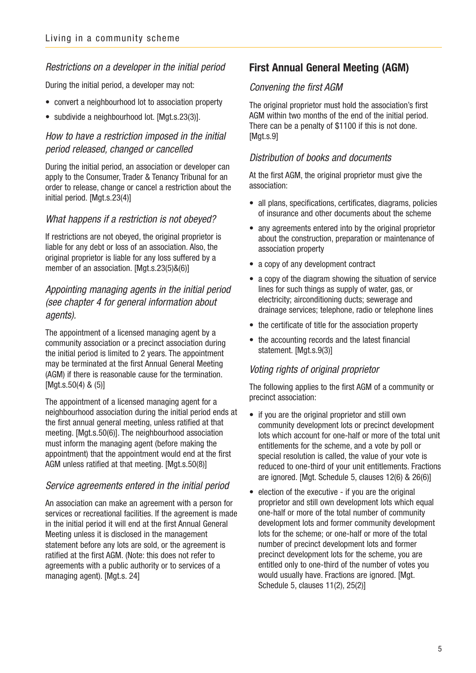#### Restrictions on a developer in the initial period

During the initial period, a developer may not:

- convert a neighbourhood lot to association property
- subdivide a neighbourhood lot. [Mgt.s.23(3)].

### How to have a restriction imposed in the initial period released, changed or cancelled

During the initial period, an association or developer can apply to the Consumer, Trader & Tenancy Tribunal for an order to release, change or cancel a restriction about the initial period. [Mgt.s.23(4)]

#### What happens if a restriction is not obeyed?

If restrictions are not obeyed, the original proprietor is liable for any debt or loss of an association. Also, the original proprietor is liable for any loss suffered by a member of an association. [Mgt.s.23(5)&(6)]

### Appointing managing agents in the initial period (see chapter 4 for general information about agents).

The appointment of a licensed managing agent by a community association or a precinct association during the initial period is limited to 2 years. The appointment may be terminated at the first Annual General Meeting (AGM) if there is reasonable cause for the termination. [Mgt.s.50(4) & (5)]

The appointment of a licensed managing agent for a neighbourhood association during the initial period ends at the first annual general meeting, unless ratified at that meeting. [Mgt.s.50(6)]. The neighbourhood association must inform the managing agent (before making the appointment) that the appointment would end at the first AGM unless ratified at that meeting. [Mgt.s.50(8)]

#### Service agreements entered in the initial period

An association can make an agreement with a person for services or recreational facilities. If the agreement is made in the initial period it will end at the first Annual General Meeting unless it is disclosed in the management statement before any lots are sold, or the agreement is ratified at the first AGM. (Note: this does not refer to agreements with a public authority or to services of a managing agent). [Mgt.s. 24]

### **First Annual General Meeting (AGM)**

#### Convening the first AGM

The original proprietor must hold the association's first AGM within two months of the end of the initial period. There can be a penalty of \$1100 if this is not done. [Mgt.s.9]

#### Distribution of books and documents

At the first AGM, the original proprietor must give the association:

- all plans, specifications, certificates, diagrams, policies of insurance and other documents about the scheme
- any agreements entered into by the original proprietor about the construction, preparation or maintenance of association property
- a copy of any development contract
- a copy of the diagram showing the situation of service lines for such things as supply of water, gas, or electricity; airconditioning ducts; sewerage and drainage services; telephone, radio or telephone lines
- the certificate of title for the association property
- the accounting records and the latest financial statement. [Mgt.s.9(3)]

#### Voting rights of original proprietor

The following applies to the first AGM of a community or precinct association:

- if you are the original proprietor and still own community development lots or precinct development lots which account for one-half or more of the total unit entitlements for the scheme, and a vote by poll or special resolution is called, the value of your vote is reduced to one-third of your unit entitlements. Fractions are ignored. [Mgt. Schedule 5, clauses 12(6) & 26(6)]
- election of the executive if you are the original proprietor and still own development lots which equal one-half or more of the total number of community development lots and former community development lots for the scheme; or one-half or more of the total number of precinct development lots and former precinct development lots for the scheme, you are entitled only to one-third of the number of votes you would usually have. Fractions are ignored. [Mgt. Schedule 5, clauses 11(2), 25(2)]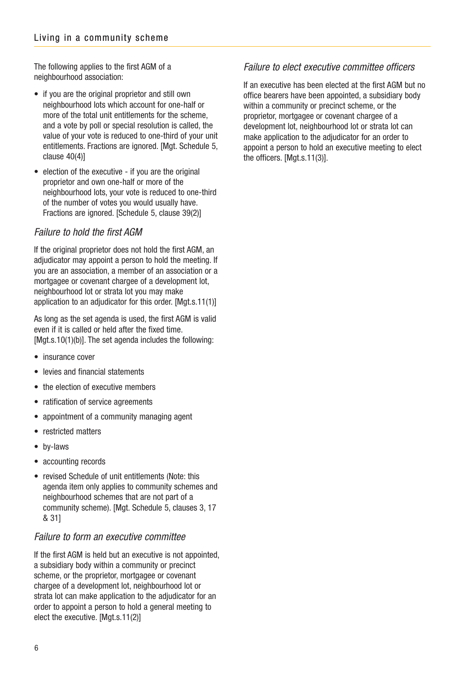The following applies to the first AGM of a neighbourhood association:

- if you are the original proprietor and still own neighbourhood lots which account for one-half or more of the total unit entitlements for the scheme, and a vote by poll or special resolution is called, the value of your vote is reduced to one-third of your unit entitlements. Fractions are ignored. [Mgt. Schedule 5, clause 40(4)]
- election of the executive if you are the original proprietor and own one-half or more of the neighbourhood lots, your vote is reduced to one-third of the number of votes you would usually have. Fractions are ignored. [Schedule 5, clause 39(2)]

#### Failure to hold the first AGM

If the original proprietor does not hold the first AGM, an adjudicator may appoint a person to hold the meeting. If you are an association, a member of an association or a mortgagee or covenant chargee of a development lot, neighbourhood lot or strata lot you may make application to an adjudicator for this order. [Mgt.s.11(1)]

As long as the set agenda is used, the first AGM is valid even if it is called or held after the fixed time. [Mgt.s.10(1)(b)]. The set agenda includes the following:

- insurance cover
- levies and financial statements
- the election of executive members
- ratification of service agreements
- appointment of a community managing agent
- restricted matters
- by-laws
- accounting records
- revised Schedule of unit entitlements (Note: this agenda item only applies to community schemes and neighbourhood schemes that are not part of a community scheme). [Mgt. Schedule 5, clauses 3, 17 & 31]

#### Failure to form an executive committee

If the first AGM is held but an executive is not appointed, a subsidiary body within a community or precinct scheme, or the proprietor, mortgagee or covenant chargee of a development lot, neighbourhood lot or strata lot can make application to the adjudicator for an order to appoint a person to hold a general meeting to elect the executive. [Mgt.s.11(2)]

### Failure to elect executive committee officers

If an executive has been elected at the first AGM but no office bearers have been appointed, a subsidiary body within a community or precinct scheme, or the proprietor, mortgagee or covenant chargee of a development lot, neighbourhood lot or strata lot can make application to the adjudicator for an order to appoint a person to hold an executive meeting to elect the officers. [Mgt.s.11(3)].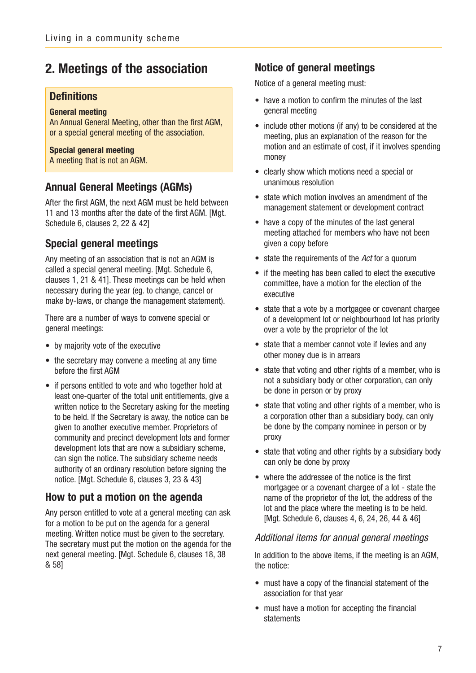## **2. Meetings of the association**

#### **Definitions**

#### **General meeting**

An Annual General Meeting, other than the first AGM, or a special general meeting of the association.

#### **Special general meeting**

A meeting that is not an AGM.

#### **Annual General Meetings (AGMs)**

After the first AGM, the next AGM must be held between 11 and 13 months after the date of the first AGM. [Mgt. Schedule 6, clauses 2, 22 & 42]

### **Special general meetings**

Any meeting of an association that is not an AGM is called a special general meeting. [Mgt. Schedule 6, clauses 1, 21 & 41]. These meetings can be held when necessary during the year (eg. to change, cancel or make by-laws, or change the management statement).

There are a number of ways to convene special or general meetings:

- by majority vote of the executive
- the secretary may convene a meeting at any time before the first AGM
- if persons entitled to vote and who together hold at least one-quarter of the total unit entitlements, give a written notice to the Secretary asking for the meeting to be held. If the Secretary is away, the notice can be given to another executive member. Proprietors of community and precinct development lots and former development lots that are now a subsidiary scheme, can sign the notice. The subsidiary scheme needs authority of an ordinary resolution before signing the notice. [Mgt. Schedule 6, clauses 3, 23 & 43]

### **How to put a motion on the agenda**

Any person entitled to vote at a general meeting can ask for a motion to be put on the agenda for a general meeting. Written notice must be given to the secretary. The secretary must put the motion on the agenda for the next general meeting. [Mgt. Schedule 6, clauses 18, 38 & 58]

#### **Notice of general meetings**

Notice of a general meeting must:

- have a motion to confirm the minutes of the last general meeting
- include other motions (if any) to be considered at the meeting, plus an explanation of the reason for the motion and an estimate of cost, if it involves spending money
- clearly show which motions need a special or unanimous resolution
- state which motion involves an amendment of the management statement or development contract
- have a copy of the minutes of the last general meeting attached for members who have not been given a copy before
- state the requirements of the Act for a quorum
- if the meeting has been called to elect the executive committee, have a motion for the election of the executive
- state that a vote by a mortgagee or covenant chargee of a development lot or neighbourhood lot has priority over a vote by the proprietor of the lot
- state that a member cannot vote if levies and any other money due is in arrears
- state that voting and other rights of a member, who is not a subsidiary body or other corporation, can only be done in person or by proxy
- state that voting and other rights of a member, who is a corporation other than a subsidiary body, can only be done by the company nominee in person or by proxy
- state that voting and other rights by a subsidiary body can only be done by proxy
- where the addressee of the notice is the first mortgagee or a covenant chargee of a lot - state the name of the proprietor of the lot, the address of the lot and the place where the meeting is to be held. [Mgt. Schedule 6, clauses 4, 6, 24, 26, 44 & 46]

#### Additional items for annual general meetings

In addition to the above items, if the meeting is an AGM, the notice:

- must have a copy of the financial statement of the association for that year
- must have a motion for accepting the financial statements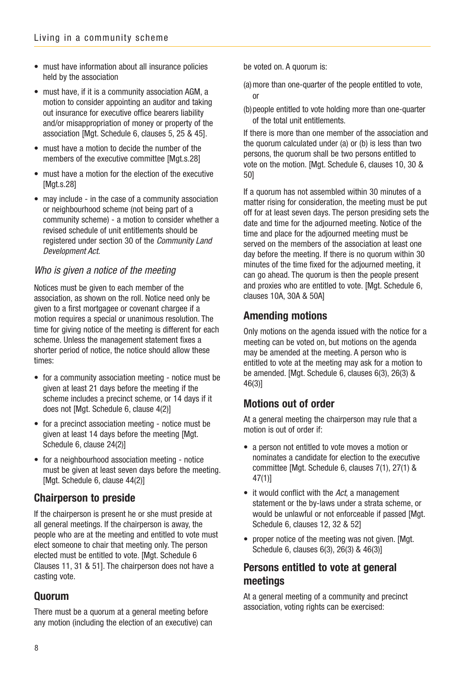- must have information about all insurance policies held by the association
- must have, if it is a community association AGM, a motion to consider appointing an auditor and taking out insurance for executive office bearers liability and/or misappropriation of money or property of the association [Mgt. Schedule 6, clauses 5, 25 & 45].
- must have a motion to decide the number of the members of the executive committee [Mgt.s.28]
- must have a motion for the election of the executive [Mgt.s.28]
- may include in the case of a community association or neighbourhood scheme (not being part of a community scheme) - a motion to consider whether a revised schedule of unit entitlements should be registered under section 30 of the Community Land Development Act.

### Who is given a notice of the meeting

Notices must be given to each member of the association, as shown on the roll. Notice need only be given to a first mortgagee or covenant chargee if a motion requires a special or unanimous resolution. The time for giving notice of the meeting is different for each scheme. Unless the management statement fixes a shorter period of notice, the notice should allow these times:

- for a community association meeting notice must be given at least 21 days before the meeting if the scheme includes a precinct scheme, or 14 days if it does not [Mgt. Schedule 6, clause 4(2)]
- for a precinct association meeting notice must be given at least 14 days before the meeting [Mgt. Schedule 6, clause 24(2)]
- for a neighbourhood association meeting notice must be given at least seven days before the meeting. [Mgt. Schedule 6, clause 44(2)]

### **Chairperson to preside**

If the chairperson is present he or she must preside at all general meetings. If the chairperson is away, the people who are at the meeting and entitled to vote must elect someone to chair that meeting only. The person elected must be entitled to vote. [Mgt. Schedule 6 Clauses 11, 31 & 51]. The chairperson does not have a casting vote.

### **Quorum**

There must be a quorum at a general meeting before any motion (including the election of an executive) can be voted on. A quorum is:

- (a)more than one-quarter of the people entitled to vote, or
- (b)people entitled to vote holding more than one-quarter of the total unit entitlements.

If there is more than one member of the association and the quorum calculated under (a) or (b) is less than two persons, the quorum shall be two persons entitled to vote on the motion. [Mgt. Schedule 6, clauses 10, 30 & 50]

If a quorum has not assembled within 30 minutes of a matter rising for consideration, the meeting must be put off for at least seven days. The person presiding sets the date and time for the adjourned meeting. Notice of the time and place for the adjourned meeting must be served on the members of the association at least one day before the meeting. If there is no quorum within 30 minutes of the time fixed for the adjourned meeting, it can go ahead. The quorum is then the people present and proxies who are entitled to vote. [Mgt. Schedule 6, clauses 10A, 30A & 50A]

### **Amending motions**

Only motions on the agenda issued with the notice for a meeting can be voted on, but motions on the agenda may be amended at the meeting. A person who is entitled to vote at the meeting may ask for a motion to be amended. [Mgt. Schedule 6, clauses 6(3), 26(3) & 46(3)]

### **Motions out of order**

At a general meeting the chairperson may rule that a motion is out of order if:

- a person not entitled to vote moves a motion or nominates a candidate for election to the executive committee [Mgt. Schedule 6, clauses 7(1), 27(1) & 47(1)]
- it would conflict with the Act, a management statement or the by-laws under a strata scheme, or would be unlawful or not enforceable if passed [Mgt.] Schedule 6, clauses 12, 32 & 52]
- proper notice of the meeting was not given. [Mgt. Schedule 6, clauses 6(3), 26(3) & 46(3)]

### **Persons entitled to vote at general meetings**

At a general meeting of a community and precinct association, voting rights can be exercised: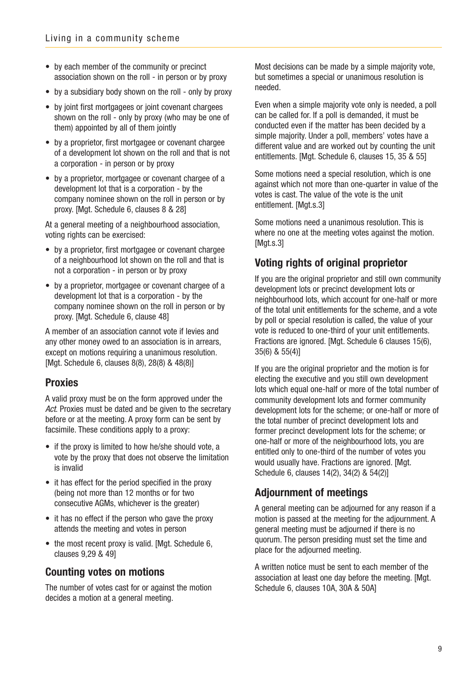- by each member of the community or precinct association shown on the roll - in person or by proxy
- by a subsidiary body shown on the roll only by proxy
- by joint first mortgagees or joint covenant chargees shown on the roll - only by proxy (who may be one of them) appointed by all of them jointly
- by a proprietor, first mortgagee or covenant chargee of a development lot shown on the roll and that is not a corporation - in person or by proxy
- by a proprietor, mortgagee or covenant chargee of a development lot that is a corporation - by the company nominee shown on the roll in person or by proxy. [Mgt. Schedule 6, clauses 8 & 28]

At a general meeting of a neighbourhood association, voting rights can be exercised:

- by a proprietor, first mortgagee or covenant chargee of a neighbourhood lot shown on the roll and that is not a corporation - in person or by proxy
- by a proprietor, mortgagee or covenant chargee of a development lot that is a corporation - by the company nominee shown on the roll in person or by proxy. [Mgt. Schedule 6, clause 48]

A member of an association cannot vote if levies and any other money owed to an association is in arrears, except on motions requiring a unanimous resolution. [Mgt. Schedule 6, clauses 8(8), 28(8) & 48(8)]

### **Proxies**

A valid proxy must be on the form approved under the Act. Proxies must be dated and be given to the secretary before or at the meeting. A proxy form can be sent by facsimile. These conditions apply to a proxy:

- if the proxy is limited to how he/she should vote, a vote by the proxy that does not observe the limitation is invalid
- it has effect for the period specified in the proxy (being not more than 12 months or for two consecutive AGMs, whichever is the greater)
- it has no effect if the person who gave the proxy attends the meeting and votes in person
- the most recent proxy is valid. [Mgt. Schedule 6, clauses 9,29 & 49]

### **Counting votes on motions**

The number of votes cast for or against the motion decides a motion at a general meeting.

Most decisions can be made by a simple majority vote, but sometimes a special or unanimous resolution is needed.

Even when a simple majority vote only is needed, a poll can be called for. If a poll is demanded, it must be conducted even if the matter has been decided by a simple majority. Under a poll, members' votes have a different value and are worked out by counting the unit entitlements. [Mgt. Schedule 6, clauses 15, 35 & 55]

Some motions need a special resolution, which is one against which not more than one-quarter in value of the votes is cast. The value of the vote is the unit entitlement. [Mgt.s.3]

Some motions need a unanimous resolution. This is where no one at the meeting votes against the motion. [Mgt.s.3]

### **Voting rights of original proprietor**

If you are the original proprietor and still own community development lots or precinct development lots or neighbourhood lots, which account for one-half or more of the total unit entitlements for the scheme, and a vote by poll or special resolution is called, the value of your vote is reduced to one-third of your unit entitlements. Fractions are ignored. [Mgt. Schedule 6 clauses 15(6), 35(6) & 55(4)]

If you are the original proprietor and the motion is for electing the executive and you still own development lots which equal one-half or more of the total number of community development lots and former community development lots for the scheme; or one-half or more of the total number of precinct development lots and former precinct development lots for the scheme; or one-half or more of the neighbourhood lots, you are entitled only to one-third of the number of votes you would usually have. Fractions are ignored. [Mgt.] Schedule 6, clauses 14(2), 34(2) & 54(2)]

### **Adjournment of meetings**

A general meeting can be adjourned for any reason if a motion is passed at the meeting for the adjournment. A general meeting must be adjourned if there is no quorum. The person presiding must set the time and place for the adjourned meeting.

A written notice must be sent to each member of the association at least one day before the meeting. [Mgt. Schedule 6, clauses 10A, 30A & 50A]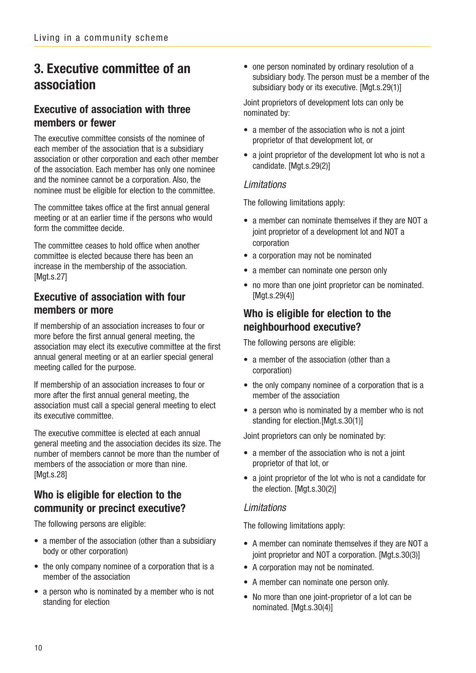## **3. Executive committee of an association**

### **Executive of association with three members or fewer**

The executive committee consists of the nominee of each member of the association that is a subsidiary association or other corporation and each other member of the association. Each member has only one nominee and the nominee cannot be a corporation. Also, the nominee must be eligible for election to the committee.

The committee takes office at the first annual general meeting or at an earlier time if the persons who would form the committee decide.

The committee ceases to hold office when another committee is elected because there has been an increase in the membership of the association. [Mgt.s.27]

### **Executive of association with four members or more**

If membership of an association increases to four or more before the first annual general meeting, the association may elect its executive committee at the first annual general meeting or at an earlier special general meeting called for the purpose.

If membership of an association increases to four or more after the first annual general meeting, the association must call a special general meeting to elect its executive committee.

The executive committee is elected at each annual general meeting and the association decides its size. The number of members cannot be more than the number of members of the association or more than nine. [Mgt.s.28]

### **Who is eligible for election to the community or precinct executive?**

The following persons are eligible:

- a member of the association (other than a subsidiary body or other corporation)
- the only company nominee of a corporation that is a member of the association
- a person who is nominated by a member who is not standing for election

• one person nominated by ordinary resolution of a subsidiary body. The person must be a member of the subsidiary body or its executive. [Mgt.s.29(1)]

Joint proprietors of development lots can only be nominated by:

- a member of the association who is not a joint proprietor of that development lot, or
- a joint proprietor of the development lot who is not a candidate. [Mgt.s.29(2)]

#### Limitations

The following limitations apply:

- a member can nominate themselves if they are NOT a joint proprietor of a development lot and NOT a corporation
- a corporation may not be nominated
- a member can nominate one person only
- no more than one joint proprietor can be nominated. [Mgt.s.29(4)]

### **Who is eligible for election to the neighbourhood executive?**

The following persons are eligible:

- a member of the association (other than a corporation)
- the only company nominee of a corporation that is a member of the association
- a person who is nominated by a member who is not standing for election. [Mgt.s.30(1)]

Joint proprietors can only be nominated by:

- a member of the association who is not a joint proprietor of that lot, or
- a joint proprietor of the lot who is not a candidate for the election. [Mgt.s.30(2)]

#### Limitations

The following limitations apply:

- A member can nominate themselves if they are NOT a joint proprietor and NOT a corporation. [Mgt.s.30(3)]
- A corporation may not be nominated.
- A member can nominate one person only.
- No more than one joint-proprietor of a lot can be nominated. [Mgt.s.30(4)]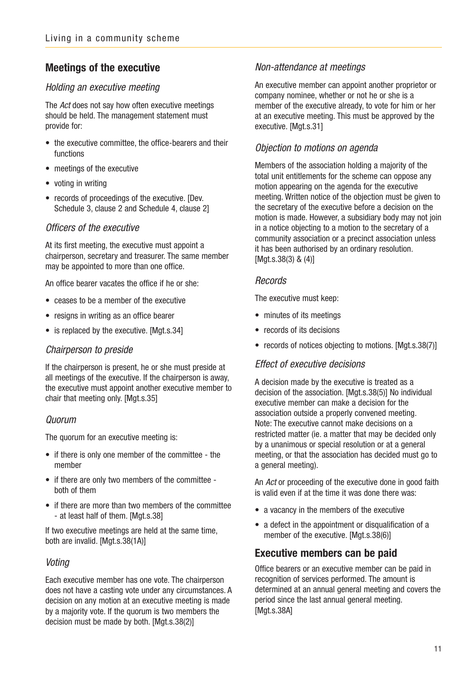### **Meetings of the executive**

#### Holding an executive meeting

The Act does not say how often executive meetings should be held. The management statement must provide for:

- the executive committee, the office-bearers and their functions
- meetings of the executive
- voting in writing
- records of proceedings of the executive. [Dev. Schedule 3, clause 2 and Schedule 4, clause 2]

#### Officers of the executive

At its first meeting, the executive must appoint a chairperson, secretary and treasurer. The same member may be appointed to more than one office.

An office bearer vacates the office if he or she:

- ceases to be a member of the executive
- resigns in writing as an office bearer
- is replaced by the executive. [Mgt.s.34]

#### Chairperson to preside

If the chairperson is present, he or she must preside at all meetings of the executive. If the chairperson is away, the executive must appoint another executive member to chair that meeting only. [Mgt.s.35]

#### Quorum

The quorum for an executive meeting is:

- if there is only one member of the committee the member
- if there are only two members of the committee both of them
- if there are more than two members of the committee - at least half of them. [Mgt.s.38]

If two executive meetings are held at the same time, both are invalid. [Mgt.s.38(1A)]

#### Voting

Each executive member has one vote. The chairperson does not have a casting vote under any circumstances. A decision on any motion at an executive meeting is made by a majority vote. If the quorum is two members the decision must be made by both. [Mgt.s.38(2)]

#### Non-attendance at meetings

An executive member can appoint another proprietor or company nominee, whether or not he or she is a member of the executive already, to vote for him or her at an executive meeting. This must be approved by the executive. [Mgt.s.31]

#### Objection to motions on agenda

Members of the association holding a majority of the total unit entitlements for the scheme can oppose any motion appearing on the agenda for the executive meeting. Written notice of the objection must be given to the secretary of the executive before a decision on the motion is made. However, a subsidiary body may not join in a notice objecting to a motion to the secretary of a community association or a precinct association unless it has been authorised by an ordinary resolution. [Mgt.s.38(3) & (4)]

#### **Records**

The executive must keep:

- minutes of its meetings
- records of its decisions
- records of notices objecting to motions. [Mgt.s.38(7)]

#### Effect of executive decisions

A decision made by the executive is treated as a decision of the association. [Mgt.s.38(5)] No individual executive member can make a decision for the association outside a properly convened meeting. Note: The executive cannot make decisions on a restricted matter (ie. a matter that may be decided only by a unanimous or special resolution or at a general meeting, or that the association has decided must go to a general meeting).

An Act or proceeding of the executive done in good faith is valid even if at the time it was done there was:

- a vacancy in the members of the executive
- a defect in the appointment or disqualification of a member of the executive. [Mgt.s.38(6)]

### **Executive members can be paid**

Office bearers or an executive member can be paid in recognition of services performed. The amount is determined at an annual general meeting and covers the period since the last annual general meeting. [Mat.s.38A]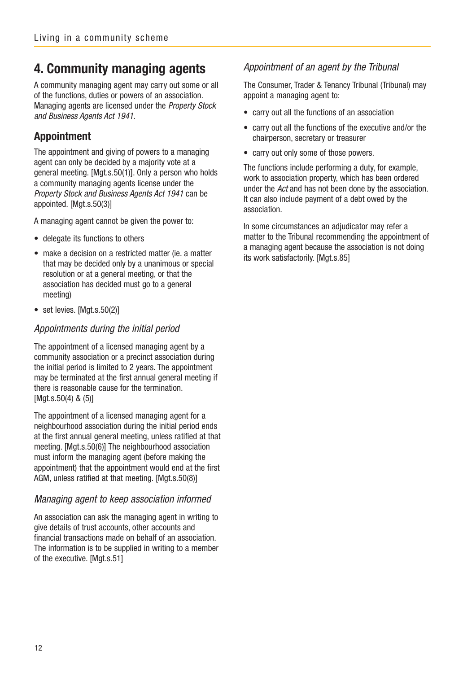## **4. Community managing agents**

A community managing agent may carry out some or all of the functions, duties or powers of an association. Managing agents are licensed under the Property Stock and Business Agents Act 1941.

### **Appointment**

The appointment and giving of powers to a managing agent can only be decided by a majority vote at a general meeting. [Mgt.s.50(1)]. Only a person who holds a community managing agents license under the Property Stock and Business Agents Act 1941 can be appointed. [Mgt.s.50(3)]

A managing agent cannot be given the power to:

- delegate its functions to others
- make a decision on a restricted matter (ie. a matter that may be decided only by a unanimous or special resolution or at a general meeting, or that the association has decided must go to a general meeting)
- set levies. [Mgt.s.50(2)]

#### Appointments during the initial period

The appointment of a licensed managing agent by a community association or a precinct association during the initial period is limited to 2 years. The appointment may be terminated at the first annual general meeting if there is reasonable cause for the termination. [Mgt.s.50(4) & (5)]

The appointment of a licensed managing agent for a neighbourhood association during the initial period ends at the first annual general meeting, unless ratified at that meeting. [Mgt.s.50(6)] The neighbourhood association must inform the managing agent (before making the appointment) that the appointment would end at the first AGM, unless ratified at that meeting. [Mgt.s.50(8)]

#### Managing agent to keep association informed

An association can ask the managing agent in writing to give details of trust accounts, other accounts and financial transactions made on behalf of an association. The information is to be supplied in writing to a member of the executive. [Mgt.s.51]

#### Appointment of an agent by the Tribunal

The Consumer, Trader & Tenancy Tribunal (Tribunal) may appoint a managing agent to:

- carry out all the functions of an association
- carry out all the functions of the executive and/or the chairperson, secretary or treasurer
- carry out only some of those powers.

The functions include performing a duty, for example, work to association property, which has been ordered under the Act and has not been done by the association. It can also include payment of a debt owed by the association.

In some circumstances an adjudicator may refer a matter to the Tribunal recommending the appointment of a managing agent because the association is not doing its work satisfactorily. [Mgt.s.85]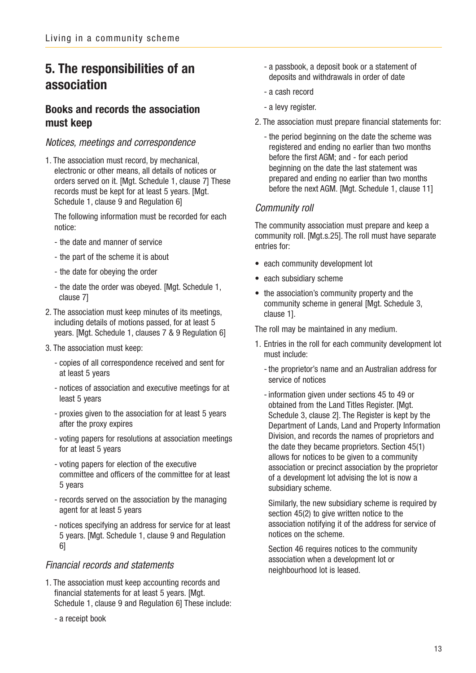## **5. The responsibilities of an association**

### **Books and records the association must keep**

#### Notices, meetings and correspondence

1. The association must record, by mechanical, electronic or other means, all details of notices or orders served on it. [Mgt. Schedule 1, clause 7] These records must be kept for at least 5 years. [Mgt. Schedule 1, clause 9 and Regulation 6]

The following information must be recorded for each notice:

- the date and manner of service
- the part of the scheme it is about
- the date for obeying the order
- the date the order was obeyed. [Mgt. Schedule 1, clause 7]
- 2. The association must keep minutes of its meetings, including details of motions passed, for at least 5 years. [Mgt. Schedule 1, clauses 7 & 9 Regulation 6]
- 3. The association must keep:
	- copies of all correspondence received and sent for at least 5 years
	- notices of association and executive meetings for at least 5 years
	- proxies given to the association for at least 5 years after the proxy expires
	- voting papers for resolutions at association meetings for at least 5 years
	- voting papers for election of the executive committee and officers of the committee for at least 5 years
	- records served on the association by the managing agent for at least 5 years
	- notices specifying an address for service for at least 5 years. [Mgt. Schedule 1, clause 9 and Regulation 6]

#### Financial records and statements

- 1. The association must keep accounting records and financial statements for at least 5 years. [Mgt. Schedule 1, clause 9 and Regulation 6] These include:
	- a receipt book
- a passbook, a deposit book or a statement of deposits and withdrawals in order of date
- a cash record
- a levy register.
- 2. The association must prepare financial statements for:
	- the period beginning on the date the scheme was registered and ending no earlier than two months before the first AGM; and - for each period beginning on the date the last statement was prepared and ending no earlier than two months before the next AGM. [Mgt. Schedule 1, clause 11]

#### Community roll

The community association must prepare and keep a community roll. [Mgt.s.25]. The roll must have separate entries for:

- each community development lot
- each subsidiary scheme
- the association's community property and the community scheme in general [Mgt. Schedule 3, clause 1].

The roll may be maintained in any medium.

- 1. Entries in the roll for each community development lot must include:
	- the proprietor's name and an Australian address for service of notices
	- information given under sections 45 to 49 or obtained from the Land Titles Register. [Mgt. Schedule 3, clause 2]. The Register is kept by the Department of Lands, Land and Property Information Division, and records the names of proprietors and the date they became proprietors. Section 45(1) allows for notices to be given to a community association or precinct association by the proprietor of a development lot advising the lot is now a subsidiary scheme.

Similarly, the new subsidiary scheme is required by section 45(2) to give written notice to the association notifying it of the address for service of notices on the scheme.

Section 46 requires notices to the community association when a development lot or neighbourhood lot is leased.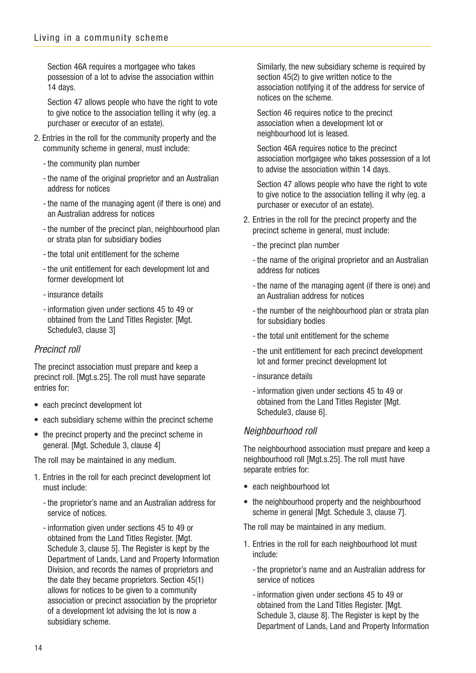Section 46A requires a mortgagee who takes possession of a lot to advise the association within 14 days.

Section 47 allows people who have the right to vote to give notice to the association telling it why (eg. a purchaser or executor of an estate).

- 2. Entries in the roll for the community property and the community scheme in general, must include:
	- the community plan number
	- the name of the original proprietor and an Australian address for notices
	- the name of the managing agent (if there is one) and an Australian address for notices
	- the number of the precinct plan, neighbourhood plan or strata plan for subsidiary bodies
	- the total unit entitlement for the scheme
	- the unit entitlement for each development lot and former development lot
	- insurance details
	- information given under sections 45 to 49 or obtained from the Land Titles Register. [Mgt.] Schedule3, clause 3]

#### Precinct roll

The precinct association must prepare and keep a precinct roll. [Mgt.s.25]. The roll must have separate entries for:

- each precinct development lot
- each subsidiary scheme within the precinct scheme
- the precinct property and the precinct scheme in general. [Mgt. Schedule 3, clause 4]

The roll may be maintained in any medium.

- 1. Entries in the roll for each precinct development lot must include:
	- the proprietor's name and an Australian address for service of notices.
	- information given under sections 45 to 49 or obtained from the Land Titles Register. [Mgt.] Schedule 3, clause 5]. The Register is kept by the Department of Lands, Land and Property Information Division, and records the names of proprietors and the date they became proprietors. Section 45(1) allows for notices to be given to a community association or precinct association by the proprietor of a development lot advising the lot is now a subsidiary scheme.

Similarly, the new subsidiary scheme is required by section 45(2) to give written notice to the association notifying it of the address for service of notices on the scheme.

Section 46 requires notice to the precinct association when a development lot or neighbourhood lot is leased.

Section 46A requires notice to the precinct association mortgagee who takes possession of a lot to advise the association within 14 days.

Section 47 allows people who have the right to vote to give notice to the association telling it why (eg. a purchaser or executor of an estate).

- 2. Entries in the roll for the precinct property and the precinct scheme in general, must include:
	- the precinct plan number
	- the name of the original proprietor and an Australian address for notices
	- the name of the managing agent (if there is one) and an Australian address for notices
	- the number of the neighbourhood plan or strata plan for subsidiary bodies
	- the total unit entitlement for the scheme
	- the unit entitlement for each precinct development lot and former precinct development lot
	- insurance details
	- information given under sections 45 to 49 or obtained from the Land Titles Register [Mgt. Schedule3, clause 6].

#### Neighbourhood roll

The neighbourhood association must prepare and keep a neighbourhood roll [Mgt.s.25]. The roll must have separate entries for:

- each neighbourhood lot
- the neighbourhood property and the neighbourhood scheme in general [Mgt. Schedule 3, clause 7].

The roll may be maintained in any medium.

- 1. Entries in the roll for each neighbourhood lot must include:
	- the proprietor's name and an Australian address for service of notices
	- information given under sections 45 to 49 or obtained from the Land Titles Register. [Mgt. Schedule 3, clause 8]. The Register is kept by the Department of Lands, Land and Property Information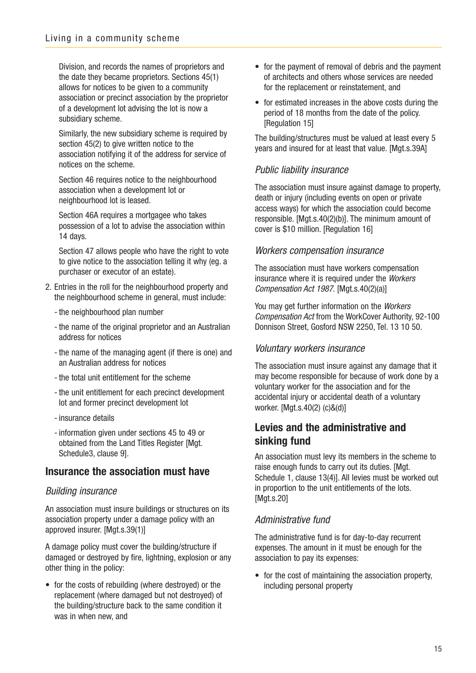Division, and records the names of proprietors and the date they became proprietors. Sections 45(1) allows for notices to be given to a community association or precinct association by the proprietor of a development lot advising the lot is now a subsidiary scheme.

Similarly, the new subsidiary scheme is required by section 45(2) to give written notice to the association notifying it of the address for service of notices on the scheme.

Section 46 requires notice to the neighbourhood association when a development lot or neighbourhood lot is leased.

Section 46A requires a mortgagee who takes possession of a lot to advise the association within 14 days.

Section 47 allows people who have the right to vote to give notice to the association telling it why (eg. a purchaser or executor of an estate).

- 2. Entries in the roll for the neighbourhood property and the neighbourhood scheme in general, must include:
	- the neighbourhood plan number
	- the name of the original proprietor and an Australian address for notices
	- the name of the managing agent (if there is one) and an Australian address for notices
	- the total unit entitlement for the scheme
	- the unit entitlement for each precinct development lot and former precinct development lot
	- insurance details
	- information given under sections 45 to 49 or obtained from the Land Titles Register [Mgt. Schedule3, clause 9].

### **Insurance the association must have**

#### Building insurance

An association must insure buildings or structures on its association property under a damage policy with an approved insurer. [Mgt.s.39(1)]

A damage policy must cover the building/structure if damaged or destroyed by fire, lightning, explosion or any other thing in the policy:

• for the costs of rebuilding (where destroyed) or the replacement (where damaged but not destroyed) of the building/structure back to the same condition it was in when new, and

- for the payment of removal of debris and the payment of architects and others whose services are needed for the replacement or reinstatement, and
- for estimated increases in the above costs during the period of 18 months from the date of the policy. [Regulation 15]

The building/structures must be valued at least every 5 years and insured for at least that value. [Mgt.s.39A]

### Public liability insurance

The association must insure against damage to property, death or injury (including events on open or private access ways) for which the association could become responsible. [Mgt.s.40(2)(b)]. The minimum amount of cover is \$10 million. [Regulation 16]

### Workers compensation insurance

The association must have workers compensation insurance where it is required under the Workers Compensation Act 1987. [Mgt.s.40(2)(a)]

You may get further information on the Workers Compensation Act from the WorkCover Authority, 92-100 Donnison Street, Gosford NSW 2250, Tel. 13 10 50.

### Voluntary workers insurance

The association must insure against any damage that it may become responsible for because of work done by a voluntary worker for the association and for the accidental injury or accidental death of a voluntary worker. [Mgt.s.40(2) (c)&(d)]

### **Levies and the administrative and sinking fund**

An association must levy its members in the scheme to raise enough funds to carry out its duties. [Mgt. Schedule 1, clause 13(4)]. All levies must be worked out in proportion to the unit entitlements of the lots. [Mgt.s.20]

### Administrative fund

The administrative fund is for day-to-day recurrent expenses. The amount in it must be enough for the association to pay its expenses:

• for the cost of maintaining the association property, including personal property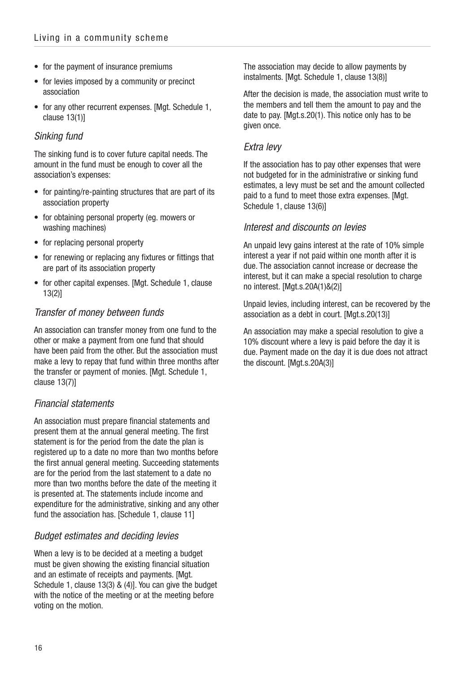- for the payment of insurance premiums
- for levies imposed by a community or precinct association
- for any other recurrent expenses. [Mgt. Schedule 1, clause 13(1)]

#### Sinking fund

The sinking fund is to cover future capital needs. The amount in the fund must be enough to cover all the association's expenses:

- for painting/re-painting structures that are part of its association property
- for obtaining personal property (eg. mowers or washing machines)
- for replacing personal property
- for renewing or replacing any fixtures or fittings that are part of its association property
- for other capital expenses. [Mgt. Schedule 1, clause 13(2)]

### Transfer of money between funds

An association can transfer money from one fund to the other or make a payment from one fund that should have been paid from the other. But the association must make a levy to repay that fund within three months after the transfer or payment of monies. [Mgt. Schedule 1, clause 13(7)]

#### Financial statements

An association must prepare financial statements and present them at the annual general meeting. The first statement is for the period from the date the plan is registered up to a date no more than two months before the first annual general meeting. Succeeding statements are for the period from the last statement to a date no more than two months before the date of the meeting it is presented at. The statements include income and expenditure for the administrative, sinking and any other fund the association has. [Schedule 1, clause 11]

#### Budget estimates and deciding levies

When a levy is to be decided at a meeting a budget must be given showing the existing financial situation and an estimate of receipts and payments. [Mgt.] Schedule 1, clause 13(3) & (4)]. You can give the budget with the notice of the meeting or at the meeting before voting on the motion.

The association may decide to allow payments by instalments. [Mgt. Schedule 1, clause 13(8)]

After the decision is made, the association must write to the members and tell them the amount to pay and the date to pay. [Mgt.s.20(1). This notice only has to be given once.

#### Extra levy

If the association has to pay other expenses that were not budgeted for in the administrative or sinking fund estimates, a levy must be set and the amount collected paid to a fund to meet those extra expenses. [Mgt. Schedule 1, clause 13(6)]

#### Interest and discounts on levies

An unpaid levy gains interest at the rate of 10% simple interest a year if not paid within one month after it is due. The association cannot increase or decrease the interest, but it can make a special resolution to charge no interest. [Mgt.s.20A(1)&(2)]

Unpaid levies, including interest, can be recovered by the association as a debt in court. [Mgt.s.20(13)]

An association may make a special resolution to give a 10% discount where a levy is paid before the day it is due. Payment made on the day it is due does not attract the discount. [Mgt.s.20A(3)]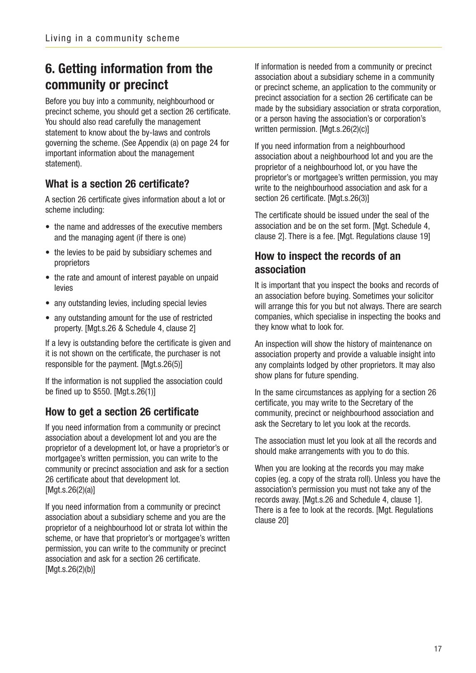## **6. Getting information from the community or precinct**

Before you buy into a community, neighbourhood or precinct scheme, you should get a section 26 certificate. You should also read carefully the management statement to know about the by-laws and controls governing the scheme. (See Appendix (a) on page 24 for important information about the management statement).

### **What is a section 26 certificate?**

A section 26 certificate gives information about a lot or scheme including:

- the name and addresses of the executive members and the managing agent (if there is one)
- the levies to be paid by subsidiary schemes and proprietors
- the rate and amount of interest payable on unpaid levies
- any outstanding levies, including special levies
- any outstanding amount for the use of restricted property. [Mgt.s.26 & Schedule 4, clause 2]

If a levy is outstanding before the certificate is given and it is not shown on the certificate, the purchaser is not responsible for the payment. [Mgt.s.26(5)]

If the information is not supplied the association could be fined up to \$550. [Mgt.s.26(1)]

### **How to get a section 26 certificate**

If you need information from a community or precinct association about a development lot and you are the proprietor of a development lot, or have a proprietor's or mortgagee's written permission, you can write to the community or precinct association and ask for a section 26 certificate about that development lot. [Mgt.s.26(2)(a)]

If you need information from a community or precinct association about a subsidiary scheme and you are the proprietor of a neighbourhood lot or strata lot within the scheme, or have that proprietor's or mortgagee's written permission, you can write to the community or precinct association and ask for a section 26 certificate. [Mgt.s.26(2)(b)]

If information is needed from a community or precinct association about a subsidiary scheme in a community or precinct scheme, an application to the community or precinct association for a section 26 certificate can be made by the subsidiary association or strata corporation, or a person having the association's or corporation's written permission. [Mgt.s.26(2)(c)]

If you need information from a neighbourhood association about a neighbourhood lot and you are the proprietor of a neighbourhood lot, or you have the proprietor's or mortgagee's written permission, you may write to the neighbourhood association and ask for a section 26 certificate. [Mgt.s.26(3)]

The certificate should be issued under the seal of the association and be on the set form. [Mgt. Schedule 4, clause 2]. There is a fee. [Mgt. Regulations clause 19]

### **How to inspect the records of an association**

It is important that you inspect the books and records of an association before buying. Sometimes your solicitor will arrange this for you but not always. There are search companies, which specialise in inspecting the books and they know what to look for.

An inspection will show the history of maintenance on association property and provide a valuable insight into any complaints lodged by other proprietors. It may also show plans for future spending.

In the same circumstances as applying for a section 26 certificate, you may write to the Secretary of the community, precinct or neighbourhood association and ask the Secretary to let you look at the records.

The association must let you look at all the records and should make arrangements with you to do this.

When you are looking at the records you may make copies (eg. a copy of the strata roll). Unless you have the association's permission you must not take any of the records away. [Mgt.s.26 and Schedule 4, clause 1]. There is a fee to look at the records. [Mgt. Regulations clause 20]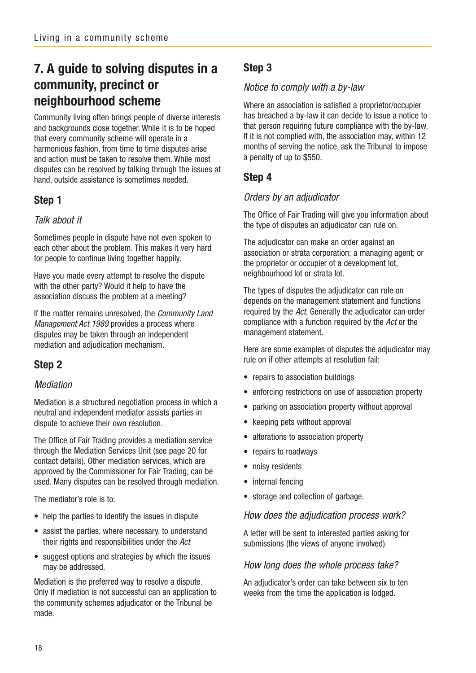## **7. A guide to solving disputes in a community, precinct or neighbourhood scheme**

Community living often brings people of diverse interests and backgrounds close together. While it is to be hoped that every community scheme will operate in a harmonious fashion, from time to time disputes arise and action must be taken to resolve them. While most disputes can be resolved by talking through the issues at hand, outside assistance is sometimes needed.

### **Step 1**

### Talk about it

Sometimes people in dispute have not even spoken to each other about the problem. This makes it very hard for people to continue living together happily.

Have you made every attempt to resolve the dispute with the other party? Would it help to have the association discuss the problem at a meeting?

If the matter remains unresolved, the Community Land Management Act 1989 provides a process where disputes may be taken through an independent mediation and adjudication mechanism.

## **Step 2**

### Mediation

Mediation is a structured negotiation process in which a neutral and independent mediator assists parties in dispute to achieve their own resolution.

The Office of Fair Trading provides a mediation service through the Mediation Services Unit (see page 20 for contact details). Other mediation services, which are approved by the Commissioner for Fair Trading, can be used. Many disputes can be resolved through mediation.

The mediator's role is to:

- help the parties to identify the issues in dispute
- assist the parties, where necessary, to understand their rights and responsibilities under the Act
- suggest options and strategies by which the issues may be addressed.

Mediation is the preferred way to resolve a dispute. Only if mediation is not successful can an application to the community schemes adjudicator or the Tribunal be made.

### **Step 3**

### Notice to comply with a by-law

Where an association is satisfied a proprietor/occupier has breached a by-law it can decide to issue a notice to that person requiring future compliance with the by-law. If it is not complied with, the association may, within 12 months of serving the notice, ask the Tribunal to impose a penalty of up to \$550.

### **Step 4**

### Orders by an adjudicator

The Office of Fair Trading will give you information about the type of disputes an adjudicator can rule on.

The adjudicator can make an order against an association or strata corporation; a managing agent; or the proprietor or occupier of a development lot, neighbourhood lot or strata lot.

The types of disputes the adjudicator can rule on depends on the management statement and functions required by the Act. Generally the adjudicator can order compliance with a function required by the Act or the management statement.

Here are some examples of disputes the adjudicator may rule on if other attempts at resolution fail:

- repairs to association buildings
- enforcing restrictions on use of association property
- parking on association property without approval
- keeping pets without approval
- alterations to association property
- repairs to roadways
- noisy residents
- internal fencing
- storage and collection of garbage.

#### How does the adjudication process work?

A letter will be sent to interested parties asking for submissions (the views of anyone involved).

#### How long does the whole process take?

An adjudicator's order can take between six to ten weeks from the time the application is lodged.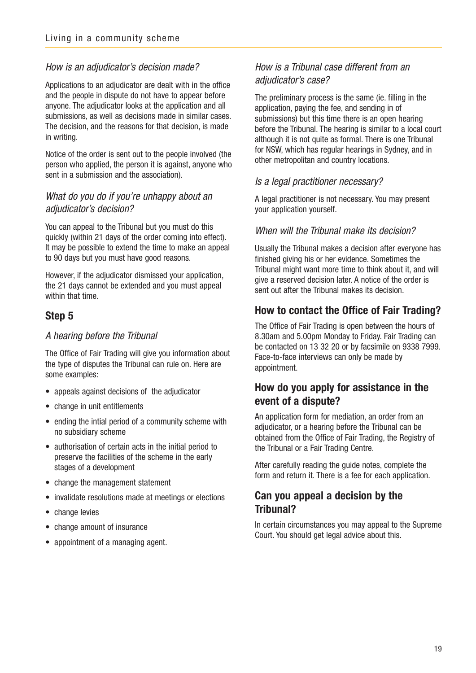#### How is an adjudicator's decision made?

Applications to an adjudicator are dealt with in the office and the people in dispute do not have to appear before anyone. The adjudicator looks at the application and all submissions, as well as decisions made in similar cases. The decision, and the reasons for that decision, is made in writing.

Notice of the order is sent out to the people involved (the person who applied, the person it is against, anyone who sent in a submission and the association).

#### What do you do if you're unhappy about an adjudicator's decision?

You can appeal to the Tribunal but you must do this quickly (within 21 days of the order coming into effect). It may be possible to extend the time to make an appeal to 90 days but you must have good reasons.

However, if the adjudicator dismissed your application, the 21 days cannot be extended and you must appeal within that time.

#### **Step 5**

#### A hearing before the Tribunal

The Office of Fair Trading will give you information about the type of disputes the Tribunal can rule on. Here are some examples:

- appeals against decisions of the adjudicator
- change in unit entitlements
- ending the intial period of a community scheme with no subsidiary scheme
- authorisation of certain acts in the initial period to preserve the facilities of the scheme in the early stages of a development
- change the management statement
- invalidate resolutions made at meetings or elections
- change levies
- change amount of insurance
- appointment of a managing agent.

### How is a Tribunal case different from an adjudicator's case?

The preliminary process is the same (ie. filling in the application, paying the fee, and sending in of submissions) but this time there is an open hearing before the Tribunal. The hearing is similar to a local court although it is not quite as formal. There is one Tribunal for NSW, which has regular hearings in Sydney, and in other metropolitan and country locations.

#### Is a legal practitioner necessary?

A legal practitioner is not necessary. You may present your application yourself.

#### When will the Tribunal make its decision?

Usually the Tribunal makes a decision after everyone has finished giving his or her evidence. Sometimes the Tribunal might want more time to think about it, and will give a reserved decision later. A notice of the order is sent out after the Tribunal makes its decision.

### **How to contact the Office of Fair Trading?**

The Office of Fair Trading is open between the hours of 8.30am and 5.00pm Monday to Friday. Fair Trading can be contacted on 13 32 20 or by facsimile on 9338 7999. Face-to-face interviews can only be made by appointment.

### **How do you apply for assistance in the event of a dispute?**

An application form for mediation, an order from an adjudicator, or a hearing before the Tribunal can be obtained from the Office of Fair Trading, the Registry of the Tribunal or a Fair Trading Centre.

After carefully reading the guide notes, complete the form and return it. There is a fee for each application.

### **Can you appeal a decision by the Tribunal?**

In certain circumstances you may appeal to the Supreme Court. You should get legal advice about this.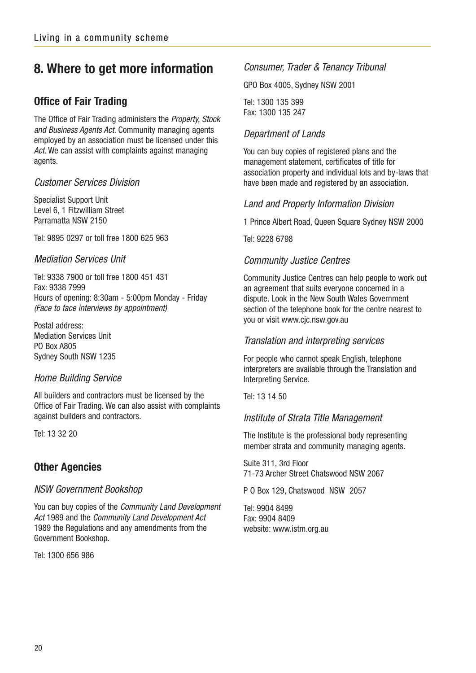## **8. Where to get more information**

### **Office of Fair Trading**

The Office of Fair Trading administers the Property, Stock and Business Agents Act. Community managing agents employed by an association must be licensed under this Act. We can assist with complaints against managing agents.

#### Customer Services Division

Specialist Support Unit Level 6, 1 Fitzwilliam Street Parramatta NSW 2150

Tel: 9895 0297 or toll free 1800 625 963

#### Mediation Services Unit

Tel: 9338 7900 or toll free 1800 451 431 Fax: 9338 7999 Hours of opening: 8:30am - 5:00pm Monday - Friday (Face to face interviews by appointment)

Postal address: Mediation Services Unit PO Box A805 Sydney South NSW 1235

#### Home Building Service

All builders and contractors must be licensed by the Office of Fair Trading. We can also assist with complaints against builders and contractors.

Tel: 13 32 20

### **Other Agencies**

#### NSW Government Bookshop

You can buy copies of the Community Land Development Act 1989 and the Community Land Development Act 1989 the Regulations and any amendments from the Government Bookshop.

Tel: 1300 656 986

#### Consumer, Trader & Tenancy Tribunal

GPO Box 4005, Sydney NSW 2001

Tel: 1300 135 399 Fax: 1300 135 247

### Department of Lands

You can buy copies of registered plans and the management statement, certificates of title for association property and individual lots and by-laws that have been made and registered by an association.

#### Land and Property Information Division

1 Prince Albert Road, Queen Square Sydney NSW 2000

Tel: 9228 6798

#### Community Justice Centres

Community Justice Centres can help people to work out an agreement that suits everyone concerned in a dispute. Look in the New South Wales Government section of the telephone book for the centre nearest to you or visit www.cjc.nsw.gov.au

#### Translation and interpreting services

For people who cannot speak English, telephone interpreters are available through the Translation and Interpreting Service.

Tel: 13 14 50

#### Institute of Strata Title Management

The Institute is the professional body representing member strata and community managing agents.

Suite 311, 3rd Floor 71-73 Archer Street Chatswood NSW 2067

P O Box 129, Chatswood NSW 2057

Tel: 9904 8499 Fax: 9904 8409 website: www.istm.org.au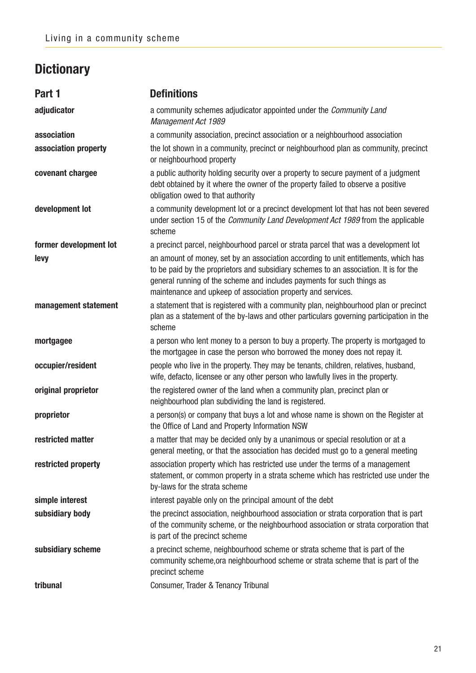## **Dictionary**

| Part 1                 | <b>Definitions</b>                                                                                                                                                                                                                                                                                                     |
|------------------------|------------------------------------------------------------------------------------------------------------------------------------------------------------------------------------------------------------------------------------------------------------------------------------------------------------------------|
| adjudicator            | a community schemes adjudicator appointed under the <i>Community Land</i><br>Management Act 1989                                                                                                                                                                                                                       |
| association            | a community association, precinct association or a neighbourhood association                                                                                                                                                                                                                                           |
| association property   | the lot shown in a community, precinct or neighbourhood plan as community, precinct<br>or neighbourhood property                                                                                                                                                                                                       |
| covenant chargee       | a public authority holding security over a property to secure payment of a judgment<br>debt obtained by it where the owner of the property failed to observe a positive<br>obligation owed to that authority                                                                                                           |
| development lot        | a community development lot or a precinct development lot that has not been severed<br>under section 15 of the <i>Community Land Development Act 1989</i> from the applicable<br>scheme                                                                                                                                |
| former development lot | a precinct parcel, neighbourhood parcel or strata parcel that was a development lot                                                                                                                                                                                                                                    |
| levy                   | an amount of money, set by an association according to unit entitlements, which has<br>to be paid by the proprietors and subsidiary schemes to an association. It is for the<br>general running of the scheme and includes payments for such things as<br>maintenance and upkeep of association property and services. |
| management statement   | a statement that is registered with a community plan, neighbourhood plan or precinct<br>plan as a statement of the by-laws and other particulars governing participation in the<br>scheme                                                                                                                              |
| mortgagee              | a person who lent money to a person to buy a property. The property is mortgaged to<br>the mortgagee in case the person who borrowed the money does not repay it.                                                                                                                                                      |
| occupier/resident      | people who live in the property. They may be tenants, children, relatives, husband,<br>wife, defacto, licensee or any other person who lawfully lives in the property.                                                                                                                                                 |
| original proprietor    | the registered owner of the land when a community plan, precinct plan or<br>neighbourhood plan subdividing the land is registered.                                                                                                                                                                                     |
| proprietor             | a person(s) or company that buys a lot and whose name is shown on the Register at<br>the Office of Land and Property Information NSW                                                                                                                                                                                   |
| restricted matter      | a matter that may be decided only by a unanimous or special resolution or at a<br>general meeting, or that the association has decided must go to a general meeting                                                                                                                                                    |
| restricted property    | association property which has restricted use under the terms of a management<br>statement, or common property in a strata scheme which has restricted use under the<br>by-laws for the strata scheme                                                                                                                  |
| simple interest        | interest payable only on the principal amount of the debt                                                                                                                                                                                                                                                              |
| subsidiary body        | the precinct association, neighbourhood association or strata corporation that is part<br>of the community scheme, or the neighbourhood association or strata corporation that<br>is part of the precinct scheme                                                                                                       |
| subsidiary scheme      | a precinct scheme, neighbourhood scheme or strata scheme that is part of the<br>community scheme, ora neighbourhood scheme or strata scheme that is part of the<br>precinct scheme                                                                                                                                     |
| tribunal               | Consumer, Trader & Tenancy Tribunal                                                                                                                                                                                                                                                                                    |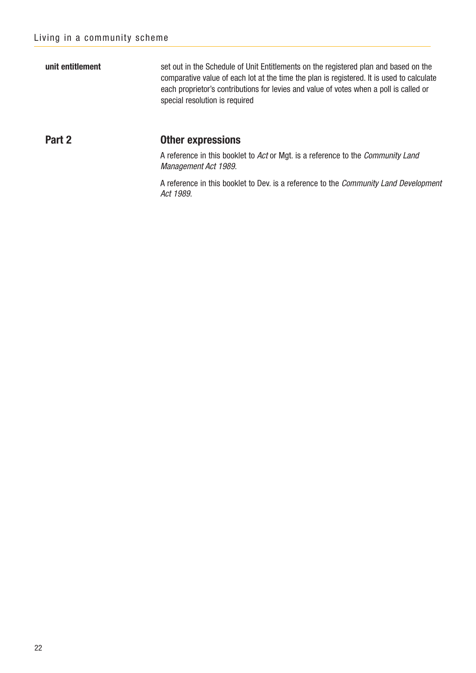**unit entitlement** set out in the Schedule of Unit Entitlements on the registered plan and based on the comparative value of each lot at the time the plan is registered. It is used to calculate each proprietor's contributions for levies and value of votes when a poll is called or special resolution is required

#### **Part 2 Other expressions**

A reference in this booklet to Act or Mgt. is a reference to the Community Land Management Act 1989.

A reference in this booklet to Dev. is a reference to the Community Land Development Act 1989.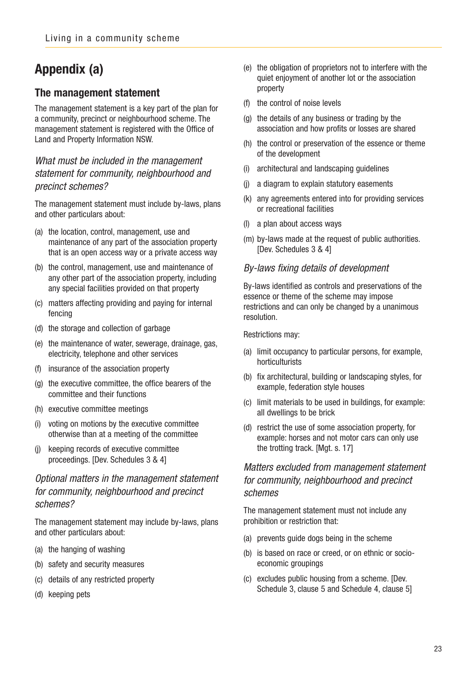## **Appendix (a)**

### **The management statement**

The management statement is a key part of the plan for a community, precinct or neighbourhood scheme. The management statement is registered with the Office of Land and Property Information NSW.

### What must be included in the management statement for community, neighbourhood and precinct schemes?

The management statement must include by-laws, plans and other particulars about:

- (a) the location, control, management, use and maintenance of any part of the association property that is an open access way or a private access way
- (b) the control, management, use and maintenance of any other part of the association property, including any special facilities provided on that property
- (c) matters affecting providing and paying for internal fencing
- (d) the storage and collection of garbage
- (e) the maintenance of water, sewerage, drainage, gas, electricity, telephone and other services
- (f) insurance of the association property
- (g) the executive committee, the office bearers of the committee and their functions
- (h) executive committee meetings
- (i) voting on motions by the executive committee otherwise than at a meeting of the committee
- (j) keeping records of executive committee proceedings. [Dev. Schedules 3 & 4]

### Optional matters in the management statement for community, neighbourhood and precinct schemes?

The management statement may include by-laws, plans and other particulars about:

- (a) the hanging of washing
- (b) safety and security measures
- (c) details of any restricted property
- (d) keeping pets
- (e) the obligation of proprietors not to interfere with the quiet enjoyment of another lot or the association property
- (f) the control of noise levels
- (g) the details of any business or trading by the association and how profits or losses are shared
- (h) the control or preservation of the essence or theme of the development
- (i) architectural and landscaping guidelines
- (j) a diagram to explain statutory easements
- (k) any agreements entered into for providing services or recreational facilities
- (l) a plan about access ways
- (m) by-laws made at the request of public authorities. [Dev. Schedules 3 & 4]

#### By-laws fixing details of development

By-laws identified as controls and preservations of the essence or theme of the scheme may impose restrictions and can only be changed by a unanimous resolution.

Restrictions may:

- (a) limit occupancy to particular persons, for example, horticulturists
- (b) fix architectural, building or landscaping styles, for example, federation style houses
- (c) limit materials to be used in buildings, for example: all dwellings to be brick
- (d) restrict the use of some association property, for example: horses and not motor cars can only use the trotting track. [Mgt. s. 17]

### Matters excluded from management statement for community, neighbourhood and precinct schemes

The management statement must not include any prohibition or restriction that:

- (a) prevents guide dogs being in the scheme
- (b) is based on race or creed, or on ethnic or socioeconomic groupings
- (c) excludes public housing from a scheme. [Dev. Schedule 3, clause 5 and Schedule 4, clause 5]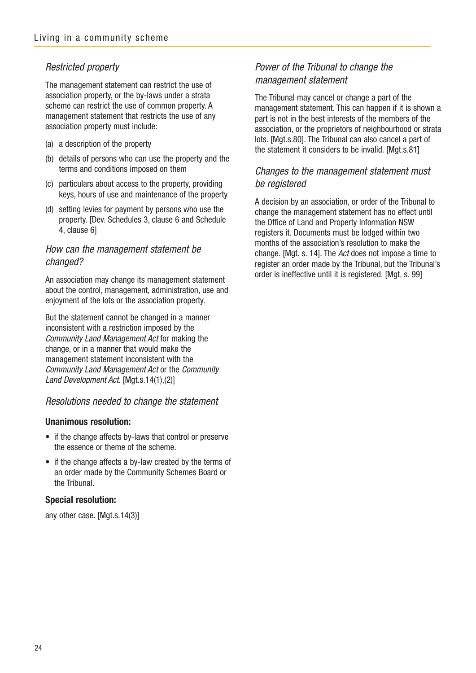### Restricted property

The management statement can restrict the use of association property, or the by-laws under a strata scheme can restrict the use of common property. A management statement that restricts the use of any association property must include:

- (a) a description of the property
- (b) details of persons who can use the property and the terms and conditions imposed on them
- (c) particulars about access to the property, providing keys, hours of use and maintenance of the property
- (d) setting levies for payment by persons who use the property. [Dev. Schedules 3, clause 6 and Schedule 4, clause 6]

#### How can the management statement be changed?

An association may change its management statement about the control, management, administration, use and enjoyment of the lots or the association property.

But the statement cannot be changed in a manner inconsistent with a restriction imposed by the Community Land Management Act for making the change, or in a manner that would make the management statement inconsistent with the Community Land Management Act or the Community Land Development Act. [Mgt.s.14(1),(2)]

#### Resolutions needed to change the statement

#### **Unanimous resolution:**

- if the change affects by-laws that control or preserve the essence or theme of the scheme.
- if the change affects a by-law created by the terms of an order made by the Community Schemes Board or the Tribunal.

#### **Special resolution:**

any other case. [Mgt.s.14(3)]

#### Power of the Tribunal to change the management statement

The Tribunal may cancel or change a part of the management statement. This can happen if it is shown a part is not in the best interests of the members of the association, or the proprietors of neighbourhood or strata lots. [Mgt.s.80]. The Tribunal can also cancel a part of the statement it considers to be invalid. [Mgt.s.81]

#### Changes to the management statement must be registered

A decision by an association, or order of the Tribunal to change the management statement has no effect until the Office of Land and Property Information NSW registers it. Documents must be lodged within two months of the association's resolution to make the change. [Mgt. s. 14]. The Act does not impose a time to register an order made by the Tribunal, but the Tribunal's order is ineffective until it is registered. [Mgt. s. 99]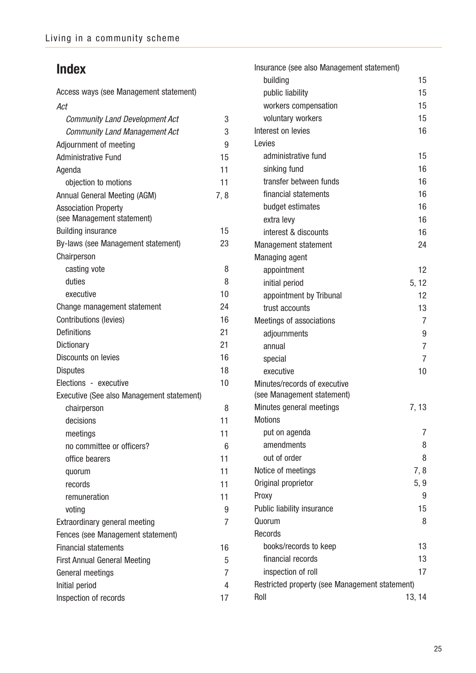## **Index**

Access ways (see Management statement) Act Community Land Development Act 3 Community Land Management Act 3 Adiournment of meeting and the state of the 9 Administrative Fund 15 Agenda 11 objection to motions 11 Annual General Meeting (AGM) 7, 8 Association Property (see Management statement) Building insurance 15 By-laws (see Management statement) 23 Chairperson casting vote 8 duties 8 executive 10 Change management statement 24 Contributions (levies) 16 Definitions 21 Dictionary 21 Discounts on levies 16 Disputes 18 Elections - executive 10 Executive (See also Management statement) chairperson 8 decisions 11 meetings 11 no committee or officers? 6 office bearers 11 quorum 11 records 11 remuneration 11 voting 9 Extraordinary general meeting **7** Fences (see Management statement) Financial statements 16 First Annual General Meeting **5** General meetings 7 Initial period 4 Inspection of records 17

| Insurance (see also Management statement)                  |                |
|------------------------------------------------------------|----------------|
| building                                                   | 15             |
| public liability                                           | 15             |
| workers compensation                                       | 15             |
| voluntary workers                                          | 15             |
| Interest on levies                                         | 16             |
| Levies                                                     |                |
| administrative fund                                        | 15             |
| sinking fund                                               | 16             |
| transfer between funds                                     | 16             |
| financial statements                                       | 16             |
| budget estimates                                           | 16             |
| extra levy                                                 | 16             |
| interest & discounts                                       | 16             |
| Management statement                                       | 24             |
| <b>Managing agent</b>                                      |                |
| appointment                                                | 12             |
| initial period                                             | 5, 12          |
| appointment by Tribunal                                    | 12             |
| trust accounts                                             | 13             |
| Meetings of associations                                   | 7              |
| adjournments                                               | 9              |
| annual                                                     | $\overline{7}$ |
| special                                                    | 7              |
| executive                                                  | 10             |
| Minutes/records of executive<br>(see Management statement) |                |
| Minutes general meetings                                   | 7, 13          |
| Motions                                                    |                |
| put on agenda                                              | 7              |
| amendments                                                 | 8              |
| out of order                                               | 8              |
| Notice of meetings                                         | 7, 8           |
| Original proprietor                                        | 5, 9           |
| Proxy                                                      | 9              |
| Public liability insurance                                 | 15             |
| Quorum                                                     | 8              |
| Records                                                    |                |
| books/records to keep                                      | 13             |
| financial records                                          | 13             |
| inspection of roll                                         | 17             |
| Restricted property (see Management statement)             |                |
| Roll                                                       | 13, 14         |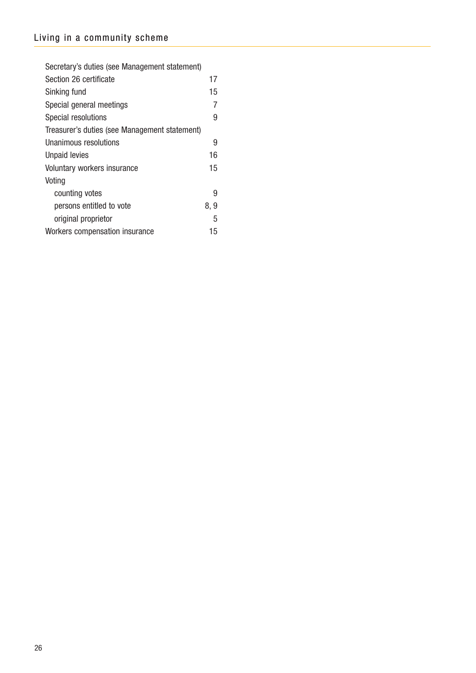| Secretary's duties (see Management statement) |      |
|-----------------------------------------------|------|
| Section 26 certificate                        | 17   |
| Sinking fund                                  | 15   |
| Special general meetings                      | 7    |
| Special resolutions                           | 9    |
| Treasurer's duties (see Management statement) |      |
| Unanimous resolutions                         | 9    |
| <b>Unpaid levies</b>                          | 16   |
| Voluntary workers insurance                   | 15   |
| Voting                                        |      |
| counting votes                                | 9    |
| persons entitled to vote                      | 8, 9 |
| original proprietor                           | 5    |
| Workers compensation insurance                |      |